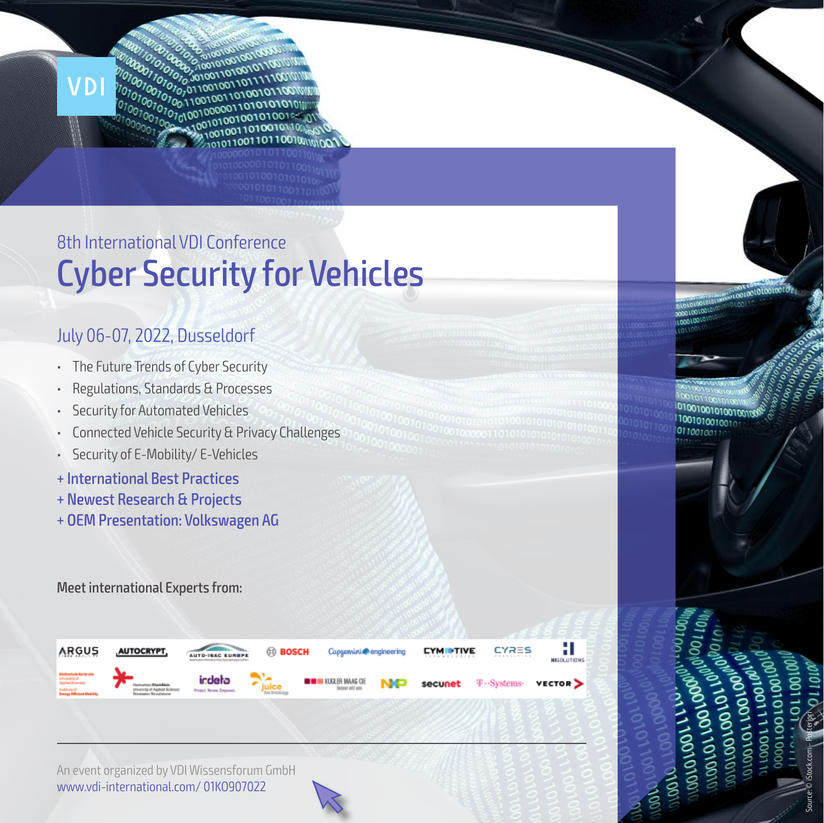

# Cyber Security for Vehicles 8th International VDI Conference

### July 06-07, 2022, Dusseldorf

- The Future Trends of Cyber Security
- Regulations, Standards & Processes
- Security for Automated Vehicles
- Connected Vehicle Security & Privacy Challenges
- Security of E-Mobility/ E-Vehicles
- + International Best Practices
- + Newest Research & Projects
- + OEM Presentation: Volkswagen AG

Meet international Experts from:



An event organized by VDI Wissensforum GmbH www.vdi-international.com/ 01KO907022

**DVOOVOOVOL ANDROIDING 00/10/00** Source: © iStock.com – Posteriori

0010010100100100 1001010010010 011001001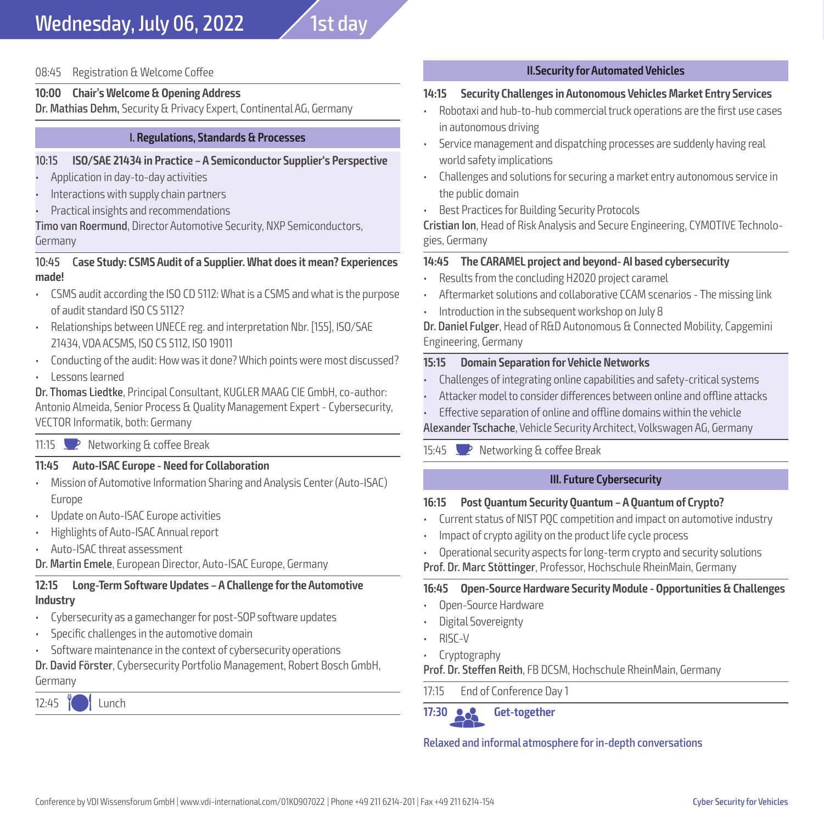08:45 Registration & Welcome Coffee

#### **10:00 Chair's Welcome & Opening Address**

Dr. Mathias Dehm, Security & Privacy Expert, Continental AG, Germany

#### I. **Regulations, Standards & Processes**

#### 10:15 **ISO/SAE 21434 in Practice – A Semiconductor Supplier's Perspective**

- Application in day-to-day activities
- Interactions with supply chain partners
- Practical insights and recommendations

Timo van Roermund, Director Automotive Security, NXP Semiconductors, Germany

#### 10:45 C**ase Study: CSMS Audit of a Supplier. What does it mean? Experiences made!**

- CSMS audit according the ISO CD 5112: What is a CSMS and what is the purpose of audit standard ISO CS 5112?
- Relationships between UNECE reg. and interpretation Nbr. [155], ISO/SAE 21434, VDA ACSMS, ISO CS 5112, ISO 19011
- Conducting of the audit: How was it done? Which points were most discussed? • Lessons learned
- Dr. Thomas Liedtke, Principal Consultant, KUGLER MAAG CIE GmbH, co-author: Antonio Almeida, Senior Process & Quality Management Expert - Cybersecurity, VECTOR Informatik, both: Germany
- 11:15  $\rightarrow$  Networking & coffee Break

#### **11:45 Auto-ISAC Europe - Need for Collaboration**

- Mission of Automotive Information Sharing and Analysis Center (Auto-ISAC) Europe
- Update on Auto-ISAC Europe activities
- Highlights of Auto-ISAC Annual report
- Auto-ISAC threat assessment
- Dr. Martin Emele, European Director, Auto-ISAC Europe, Germany

#### **12:15 Long-Term Software Updates – A Challenge for the Automotive Industry**

- Cybersecurity as a gamechanger for post-SOP software updates
- Specific challenges in the automotive domain
- Software maintenance in the context of cybersecurity operations

Dr. David Förster, Cybersecurity Portfolio Management, Robert Bosch GmbH, Germany

 $12:45$   $M$  Lunch

#### **II.Security for Automated Vehicles**

#### **14:15 Security Challenges in Autonomous Vehicles Market Entry Services**

- Robotaxi and hub-to-hub commercial truck operations are the first use cases in autonomous driving
- Service management and dispatching processes are suddenly having real world safety implications
- Challenges and solutions for securing a market entry autonomous service in the public domain
- Best Practices for Building Security Protocols

Cristian Ion, Head of Risk Analysis and Secure Engineering, CYMOTIVE Technologies, Germany

#### **14:45 The CARAMEL project and beyond- AI based cybersecurity**

- Results from the concluding H2020 project caramel
- Aftermarket solutions and collaborative CCAM scenarios The missing link
- Introduction in the subsequent workshop on July 8

Dr. Daniel Fulger, Head of R&D Autonomous & Connected Mobility, Capgemini Engineering, Germany

#### **15:15 Domain Separation for Vehicle Networks**

- Challenges of integrating online capabilities and safety-critical systems
- Attacker model to consider differences between online and offline attacks
- Effective separation of online and offline domains within the vehicle

Alexander Tschache, Vehicle Security Architect, Volkswagen AG, Germany

15:45  $\Box$  Networking & coffee Break

#### **III. Future Cybersecurity**

#### **16:15 Post Quantum Security Quantum – A Quantum of Crypto?**

- Current status of NIST PQC competition and impact on automotive industry
- Impact of crypto agility on the product life cycle process
- Operational security aspects for long-term crypto and security solutions

Prof. Dr. Marc Stöttinger, Professor, Hochschule RheinMain, Germany

#### **16:45 Open-Source Hardware Security Module - Opportunities & Challenges**

- Open-Source Hardware
- Digital Sovereignty
- RISC-V
- Cryptography

Prof. Dr. Steffen Reith, FB DCSM, Hochschule RheinMain, Germany

17:15 End of Conference Day 1

**17:30** G **Get-together**

Relaxed and informal atmosphere for in-depth conversations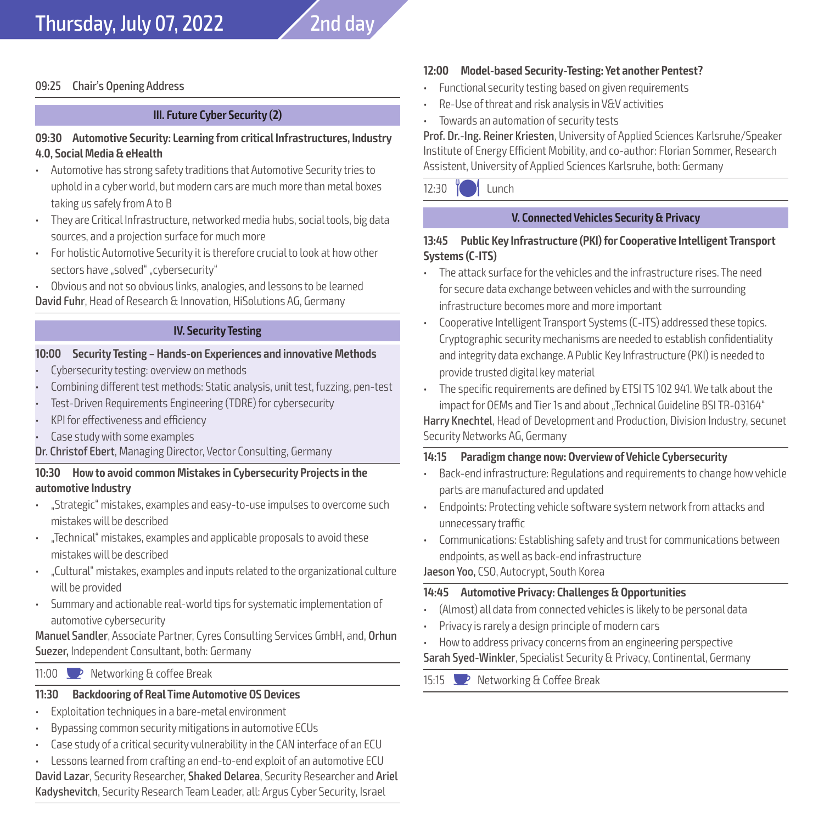

#### **III. Future Cyber Security (2)**

#### **09:30 Automotive Security: Learning from critical Infrastructures, Industry 4.0, Social Media & eHealth**

- Automotive has strong safety traditions that Automotive Security tries to uphold in a cyber world, but modern cars are much more than metal boxes taking us safely from A to B
- They are Critical Infrastructure, networked media hubs, social tools, big data sources, and a projection surface for much more
- For holistic Automotive Security it is therefore crucial to look at how other sectors have "solved" "cybersecurity"
- Obvious and not so obvious links, analogies, and lessons to be learned David Fuhr, Head of Research & Innovation, HiSolutions AG, Germany

#### **IV. Security Testing**

#### **10:00 Security Testing – Hands-on Experiences and innovative Methods**

- Cybersecurity testing: overview on methods
- Combining different test methods: Static analysis, unit test, fuzzing, pen-test
- Test-Driven Requirements Engineering (TDRE) for cybersecurity
- KPI for effectiveness and efficiency
- Case study with some examples
- Dr. Christof Ebert, Managing Director, Vector Consulting, Germany

#### **10:30 How to avoid common Mistakes in Cybersecurity Projects in the automotive Industry**

- "Strategic" mistakes, examples and easy-to-use impulses to overcome such mistakes will be described
- "Technical" mistakes, examples and applicable proposals to avoid these mistakes will be described
- "Cultural" mistakes, examples and inputs related to the organizational culture will be provided
- Summary and actionable real-world tips for systematic implementation of automotive cybersecurity

Manuel Sandler, Associate Partner, Cyres Consulting Services GmbH, and, Orhun Suezer, Independent Consultant, both: Germany

11:00  $\bullet$  Networking & coffee Break

#### **11:30 Backdooring of Real Time Automotive OS Devices**

- Exploitation techniques in a bare-metal environment
- Bypassing common security mitigations in automotive ECUs
- Case study of a critical security vulnerability in the CAN interface of an ECU
- Lessons learned from crafting an end-to-end exploit of an automotive ECU

David Lazar, Security Researcher, Shaked Delarea, Security Researcher and Ariel Kadyshevitch, Security Research Team Leader, all: Argus Cyber Security, Israel

#### **12:00 Model-based Security-Testing: Yet another Pentest?**

- Functional security testing based on given requirements
- Re-Use of threat and risk analysis in V&V activities
- Towards an automation of security tests

Prof. Dr.-Ing. Reiner Kriesten, University of Applied Sciences Karlsruhe/Speaker Institute of Energy Efficient Mobility, and co-author: Florian Sommer, Research Assistent, University of Applied Sciences Karlsruhe, both: Germany

 $12:30$   $M$  Lunch

#### **V. Connected Vehicles Security & Privacy**

#### **13:45 Public Key Infrastructure (PKI) for Cooperative Intelligent Transport Systems (C-ITS)**

- The attack surface for the vehicles and the infrastructure rises. The need for secure data exchange between vehicles and with the surrounding infrastructure becomes more and more important
- Cooperative Intelligent Transport Systems (C-ITS) addressed these topics. Cryptographic security mechanisms are needed to establish confidentiality and integrity data exchange. A Public Key Infrastructure (PKI) is needed to provide trusted digital key material
- The specific requirements are defined by ETSI TS 102 941. We talk about the impact for OEMs and Tier 1s and about "Technical Guideline BSI TR-03164" Harry Knechtel, Head of Development and Production, Division Industry, secunet Security Networks AG, Germany

#### **14:15 Paradigm change now: Overview of Vehicle Cybersecurity**

- Back-end infrastructure: Regulations and requirements to change how vehicle parts are manufactured and updated
- Endpoints: Protecting vehicle software system network from attacks and unnecessary traffic
- Communications: Establishing safety and trust for communications between endpoints, as well as back-end infrastructure

Jaeson Yoo, CSO, Autocrypt, South Korea

#### **14:45 Automotive Privacy: Challenges & Opportunities**

- (Almost) all data from connected vehicles is likely to be personal data
- Privacy is rarely a design principle of modern cars
- How to address privacy concerns from an engineering perspective

Sarah Syed-Winkler, Specialist Security & Privacy, Continental, Germany

15:15 **D** Networking & Coffee Break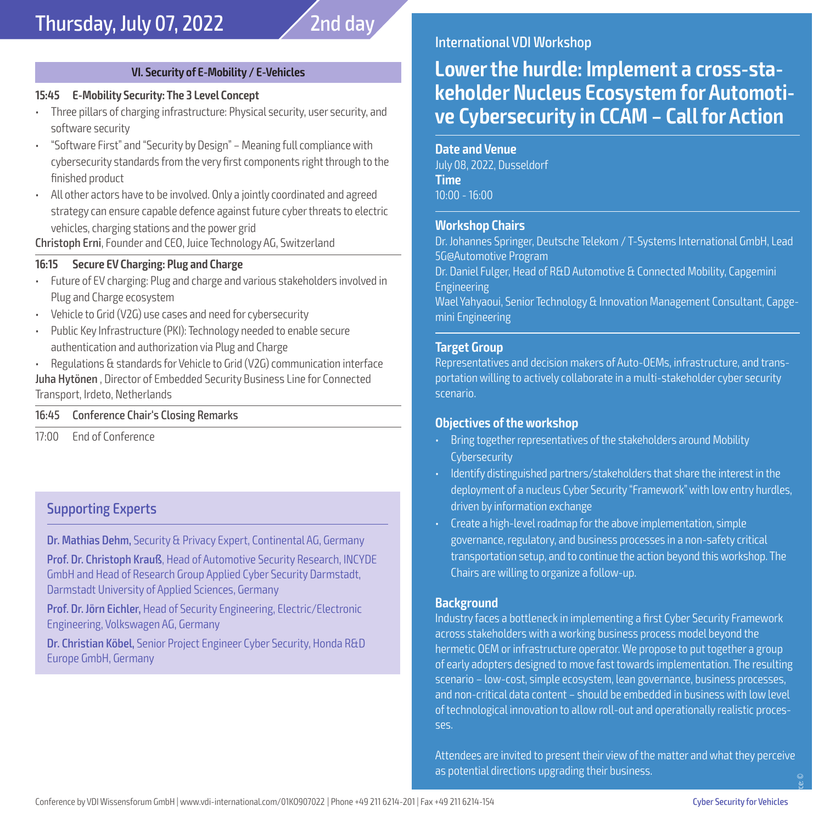#### **VI. Security of E-Mobility / E-Vehicles**

#### **15:45 E-Mobility Security: The 3 Level Concept**

- Three pillars of charging infrastructure: Physical security, user security, and software security
- "Software First" and "Security by Design" Meaning full compliance with cybersecurity standards from the very first components right through to the finished product
- All other actors have to be involved. Only a jointly coordinated and agreed strategy can ensure capable defence against future cyber threats to electric vehicles, charging stations and the power grid

Christoph Erni, Founder and CEO, Juice Technology AG, Switzerland

#### **16:15 Secure EV Charging: Plug and Charge**

- Future of EV charging: Plug and charge and various stakeholders involved in Plug and Charge ecosystem
- Vehicle to Grid (V2G) use cases and need for cybersecurity
- Public Key Infrastructure (PKI): Technology needed to enable secure authentication and authorization via Plug and Charge

• Regulations & standards for Vehicle to Grid (V2G) communication interface Juha Hytönen , Director of Embedded Security Business Line for Connected Transport, Irdeto, Netherlands

#### 16:45 Conference Chair's Closing Remarks

17:00 End of Conference

#### Supporting Experts

Dr. Mathias Dehm, Security & Privacy Expert, Continental AG, Germany

Prof. Dr. Christoph Krauß, Head of Automotive Security Research, INCYDE GmbH and Head of Research Group Applied Cyber Security Darmstadt, Darmstadt University of Applied Sciences, Germany

Prof. Dr. Jörn Eichler, Head of Security Engineering, Electric/Electronic Engineering, Volkswagen AG, Germany

Dr. Christian Köbel, Senior Project Engineer Cyber Security, Honda R&D Europe GmbH, Germany

#### International VDI Workshop

## **Lower the hurdle: Implement a cross-stakeholder Nucleus Ecosystem for Automotive Cybersecurity in CCAM – Call for Action**

#### **Date and Venue**

July 08, 2022, Dusseldorf **Time** 10:00 - 16:00

#### **Workshop Chairs**

Dr. Johannes Springer, Deutsche Telekom / T-Systems International GmbH, Lead 5G@Automotive Program

Dr. Daniel Fulger, Head of R&D Automotive & Connected Mobility, Capgemini Engineering

Wael Yahyaoui, Senior Technology & Innovation Management Consultant, Capgemini Engineering

#### **Target Group**

Representatives and decision makers of Auto-OEMs, infrastructure, and transportation willing to actively collaborate in a multi-stakeholder cyber security scenario.

#### **Objectives of the workshop**

- Bring together representatives of the stakeholders around Mobility **Cybersecurity**
- Identify distinguished partners/stakeholders that share the interest in the deployment of a nucleus Cyber Security "Framework" with low entry hurdles, driven by information exchange
- Create a high-level roadmap for the above implementation, simple governance, regulatory, and business processes in a non-safety critical transportation setup, and to continue the action beyond this workshop. The Chairs are willing to organize a follow-up.

#### **Background**

Industry faces a bottleneck in implementing a first Cyber Security Framework across stakeholders with a working business process model beyond the hermetic OEM or infrastructure operator. We propose to put together a group of early adopters designed to move fast towards implementation. The resulting scenario – low-cost, simple ecosystem, lean governance, business processes, and non-critical data content – should be embedded in business with low level of technological innovation to allow roll-out and operationally realistic processes.

Attendees are invited to present their view of the matter and what they perceive as potential directions upgrading their business. Source: ©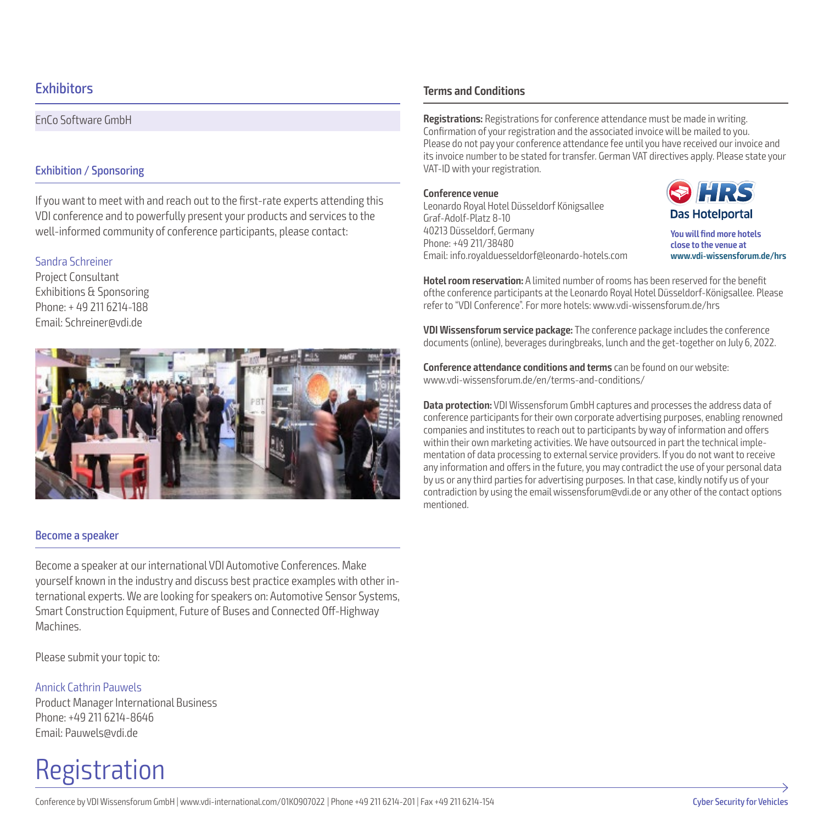#### **Exhibitors**

EnCo Software GmbH

#### Exhibition / Sponsoring

If you want to meet with and reach out to the first-rate experts attending this VDI conference and to powerfully present your products and services to the well-informed community of conference participants, please contact:

#### Sandra Schreiner

Project Consultant Exhibitions & Sponsoring Phone: + 49 211 6214-188 Email: Schreiner@vdi.de



#### Become a speaker

Become a speaker at our international VDI Automotive Conferences. Make yourself known in the industry and discuss best practice examples with other international experts. We are looking for speakers on: Automotive Sensor Systems, Smart Construction Equipment, Future of Buses and Connected Off-Highway Machines.

Please submit your topic to:

#### Annick Cathrin Pauwels

Product Manager International Business Phone: +49 211 6214-8646 Email: Pauwels@vdi.de

# Registration

#### **Terms and Conditions**

**Registrations:** Registrations for conference attendance must be made in writing. Confirmation of your registration and the associated invoice will be mailed to you. Please do not pay your conference attendance fee until you have received our invoice and its invoice number to be stated for transfer. German VAT directives apply. Please state your VAT-ID with your registration.

#### **Conference venue**

Leonardo Royal Hotel Düsseldorf Königsallee Graf-Adolf-Platz 8-10 40213 Düsseldorf, Germany Phone: +49 211/38480 Email: info.royalduesseldorf@leonardo-hotels.com



**You will find more hotels close to the venue at www.vdi-wissensforum.de/hrs**

**Hotel room reservation:** A limited number of rooms has been reserved for the benefit ofthe conference participants at the Leonardo Royal Hotel Düsseldorf-Königsallee. Please refer to "VDI Conference". For more hotels: www.vdi-wissensforum.de/hrs

**VDI Wissensforum service package:** The conference package includes the conference documents (online), beverages duringbreaks, lunch and the get-together on July 6, 2022.

**Conference attendance conditions and terms** can be found on our website: www.vdi-wissensforum.de/en/terms-and-conditions/

**Data protection:** VDI Wissensforum GmbH captures and processes the address data of conference participants for their own corporate advertising purposes, enabling renowned companies and institutes to reach out to participants by way of information and offers within their own marketing activities. We have outsourced in part the technical implementation of data processing to external service providers. If you do not want to receive any information and offers in the future, you may contradict the use of your personal data by us or any third parties for advertising purposes. In that case, kindly notify us of your contradiction by using the email wissensforum@vdi.de or any other of the contact options mentioned.